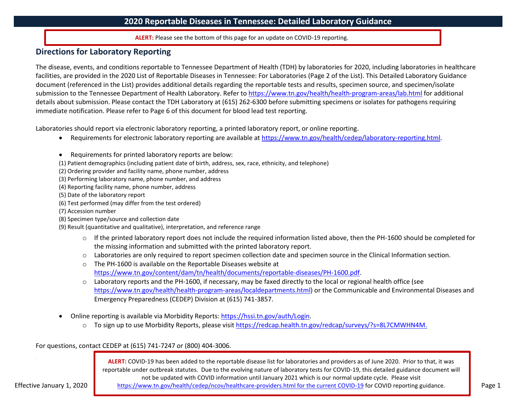**ALERT:** Please see the bottom of this page for an update on COVID-19 reporting.

## **Directions for Laboratory Reporting**

The disease, events, and conditions reportable to Tennessee Department of Health (TDH) by laboratories for 2020, including laboratories in healthcare facilities, are provided in the 2020 List of Reportable Diseases in Tennessee: For Laboratories (Page 2 of the List). This Detailed Laboratory Guidance document (referenced in the List) provides additional details regarding the reportable tests and results, specimen source, and specimen/isolate submission to the Tennessee Department of Health Laboratory. Refer to <https://www.tn.gov/health/health-program-areas/lab.html> for additional details about submission. Please contact the TDH Laboratory at (615) 262-6300 before submitting specimens or isolates for pathogens requiring immediate notification. Please refer to Page 6 of this document for blood lead test reporting.

Laboratories should report via electronic laboratory reporting, a printed laboratory report, or online reporting.

- Requirements for electronic laboratory reporting are available at [https://www.tn.gov/health/cedep/laboratory-reporting.html.](https://www.tn.gov/health/cedep/laboratory-reporting.html)
- Requirements for printed laboratory reports are below:
- (1) Patient demographics (including patient date of birth, address, sex, race, ethnicity, and telephone)
- (2) Ordering provider and facility name, phone number, address
- (3) Performing laboratory name, phone number, and address
- (4) Reporting facility name, phone number, address
- (5) Date of the laboratory report
- (6) Test performed (may differ from the test ordered)
- (7) Accession number
- (8) Specimen type/source and collection date
- (9) Result (quantitative and qualitative), interpretation, and reference range
	- $\circ$  If the printed laboratory report does not include the required information listed above, then the PH-1600 should be completed for the missing information and submitted with the printed laboratory report.
	- $\circ$  Laboratories are only required to report specimen collection date and specimen source in the Clinical Information section.
	- o The PH-1600 is available on the Reportable Diseases website at [https://www.tn.gov/content/dam/tn/health/documents/reportable-diseases/PH-1600.pdf.](https://www.tn.gov/content/dam/tn/health/documents/reportable-diseases/PH-1600.pdf)
	- $\circ$  Laboratory reports and the PH-1600, if necessary, may be faxed directly to the local or regional health office (see [https://www.tn.gov/health/health-program-areas/localdepartments.html\)](https://www.tn.gov/health/health-program-areas/localdepartments.html) or the Communicable and Environmental Diseases and Emergency Preparedness (CEDEP) Division at (615) 741-3857.
- Online reporting is available via Morbidity Reports: [https://hssi.tn.gov/auth/Login.](https://hssi.tn.gov/auth/Login)
	- o To sign up to use Morbidity Reports, please visi[t https://redcap.health.tn.gov/redcap/surveys/?s=8L7CMWHN4M.](https://redcap.health.tn.gov/redcap/surveys/?s=8L7CMWHN4M)

For questions, contact CEDEP at (615) 741-7247 or (800) 404-3006.

**ALERT:** COVID-19 has been added to the reportable disease list for laboratories and providers as of June 2020. Prior to that, it was reportable under outbreak statutes. Due to the evolving nature of laboratory tests for COVID-19, this detailed guidance document will not be updated with COVID information until January 2021 which is our normal update cycle. Please visit

Effective January 1, 2020 **Page 1** https://www.tn.gov/health/cedep/ncov/healthcare-providers.html for the current COVID-19 for COVID reporting guidance. **Page 1** Page 1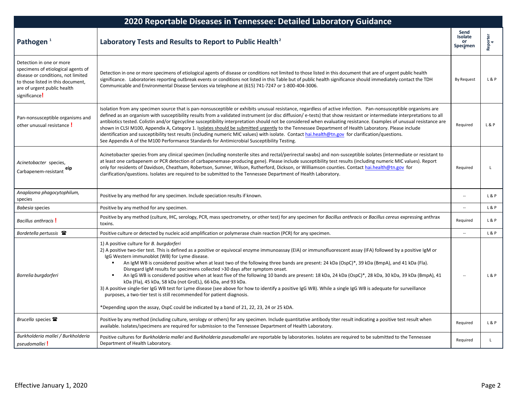| 2020 Reportable Diseases in Tennessee: Detailed Laboratory Guidance                                                                                                                       |                                                                                                                                                                                                                                                                                                                                                                                                                                                                                                                                                                                                                                                                                                                                                                                                                                                                                                                                                                                      |                                          |                |
|-------------------------------------------------------------------------------------------------------------------------------------------------------------------------------------------|--------------------------------------------------------------------------------------------------------------------------------------------------------------------------------------------------------------------------------------------------------------------------------------------------------------------------------------------------------------------------------------------------------------------------------------------------------------------------------------------------------------------------------------------------------------------------------------------------------------------------------------------------------------------------------------------------------------------------------------------------------------------------------------------------------------------------------------------------------------------------------------------------------------------------------------------------------------------------------------|------------------------------------------|----------------|
| Pathogen <sup>1</sup>                                                                                                                                                                     | Laboratory Tests and Results to Report to Public Health <sup>2</sup>                                                                                                                                                                                                                                                                                                                                                                                                                                                                                                                                                                                                                                                                                                                                                                                                                                                                                                                 | Send<br>Isolate<br><b>or</b><br>Specimen | Reporter<br>4  |
| Detection in one or more<br>specimens of etiological agents of<br>disease or conditions, not limited<br>to those listed in this document,<br>are of urgent public health<br>significance! | Detection in one or more specimens of etiological agents of disease or conditions not limited to those listed in this document that are of urgent public health<br>significance. Laboratories reporting outbreak events or conditions not listed in this Table but of public health significance should immediately contact the TDH<br>Communicable and Environmental Disease Services via telephone at (615) 741-7247 or 1-800-404-3006.                                                                                                                                                                                                                                                                                                                                                                                                                                                                                                                                            | By Request                               | <b>L&amp;P</b> |
| Pan-nonsusceptible organisms and<br>other unusual resistance !                                                                                                                            | Isolation from any specimen source that is pan-nonsusceptible or exhibits unusual resistance, regardless of active infection. Pan-nonsusceptible organisms are<br>defined as an organism with susceptibility results from a validated instrument (or disc diffusion/e-tests) that show resistant or intermediate interpretations to all<br>antibiotics tested. Colistin and/or tigecycline susceptibility interpretation should not be considered when evaluating resistance. Examples of unusual resistance are<br>shown in CLSI M100, Appendix A, Category 1. Isolates should be submitted urgently to the Tennessee Department of Health Laboratory. Please include<br>identification and susceptibility test results (including numeric MIC values) with isolate. Contact hai.health@tn.gov for clarification/questions.<br>See Appendix A of the M100 Performance Standards for Antimicrobial Susceptibility Testing.                                                           | Required                                 | L & P          |
| Acinetobacter species,<br>eip<br>Carbapenem-resistant                                                                                                                                     | Acinetobacter species from any clinical specimen (including nonsterile sites and rectal/perirectal swabs) and non-susceptible isolates (intermediate or resistant to<br>at least one carbapenem or PCR detection of carbapenemase-producing gene). Please include susceptibility test results (including numeric MIC values). Report<br>only for residents of Davidson, Cheatham, Robertson, Sumner, Wilson, Rutherford, Dickson, or Williamson counties. Contact hai.health@tn.gov for<br>clarification/questions. Isolates are required to be submitted to the Tennessee Department of Health Laboratory.                                                                                                                                                                                                                                                                                                                                                                          | Required                                 | <sup>L</sup>   |
| Anaplasma phagocytophilum,<br>species                                                                                                                                                     | Positive by any method for any specimen. Include speciation results if known.                                                                                                                                                                                                                                                                                                                                                                                                                                                                                                                                                                                                                                                                                                                                                                                                                                                                                                        | $\sim$                                   | L & P          |
| Babesia species                                                                                                                                                                           | Positive by any method for any specimen.                                                                                                                                                                                                                                                                                                                                                                                                                                                                                                                                                                                                                                                                                                                                                                                                                                                                                                                                             | $\overline{a}$                           | L & P          |
| Bacillus anthracis !                                                                                                                                                                      | Positive by any method (culture, IHC, serology, PCR, mass spectrometry, or other test) for any specimen for Bacillus anthracis or Bacillus cereus expressing anthrax<br>toxins.                                                                                                                                                                                                                                                                                                                                                                                                                                                                                                                                                                                                                                                                                                                                                                                                      | Required                                 | L&P            |
| Bordetella pertussis <sup>2</sup>                                                                                                                                                         | Positive culture or detected by nucleic acid amplification or polymerase chain reaction (PCR) for any specimen.                                                                                                                                                                                                                                                                                                                                                                                                                                                                                                                                                                                                                                                                                                                                                                                                                                                                      | $\sim$                                   | <b>L&amp;P</b> |
| Borrelia burgdorferi                                                                                                                                                                      | 1) A positive culture for <i>B. burgdorferi</i><br>2) A positive two-tier test. This is defined as a positive or equivocal enzyme immunoassay (EIA) or immunofluorescent assay (IFA) followed by a positive IgM or<br>IgG Western immunoblot (WB) for Lyme disease.<br>An IgM WB is considered positive when at least two of the following three bands are present: 24 kDa (OspC)*, 39 kDa (BmpA), and 41 kDa (Fla).<br>Disregard IgM results for specimens collected >30 days after symptom onset.<br>An IgG WB is considered positive when at least five of the following 10 bands are present: 18 kDa, 24 kDa (OspC)*, 28 kDa, 30 kDa, 39 kDa (BmpA), 41<br>$\blacksquare$<br>kDa (Fla), 45 kDa, 58 kDa (not GroEL), 66 kDa, and 93 kDa.<br>3) A positive single-tier IgG WB test for Lyme disease (see above for how to identify a positive IgG WB). While a single IgG WB is adequate for surveillance<br>purposes, a two-tier test is still recommended for patient diagnosis. |                                          | L & P          |
|                                                                                                                                                                                           | *Depending upon the assay, OspC could be indicated by a band of 21, 22, 23, 24 or 25 kDA.                                                                                                                                                                                                                                                                                                                                                                                                                                                                                                                                                                                                                                                                                                                                                                                                                                                                                            |                                          |                |
| Brucella species <sup>雷</sup>                                                                                                                                                             | Positive by any method (including culture, serology or others) for any specimen. Include quantitative antibody titer result indicating a positive test result when<br>available. Isolates/specimens are required for submission to the Tennessee Department of Health Laboratory.                                                                                                                                                                                                                                                                                                                                                                                                                                                                                                                                                                                                                                                                                                    | Required                                 | L&P            |
| Burkholderia mallei / Burkholderia<br>pseudomallei!                                                                                                                                       | Positive cultures for Burkholderia mallei and Burkholderia pseudomallei are reportable by laboratories. Isolates are required to be submitted to the Tennessee<br>Department of Health Laboratory.                                                                                                                                                                                                                                                                                                                                                                                                                                                                                                                                                                                                                                                                                                                                                                                   | Required                                 | L              |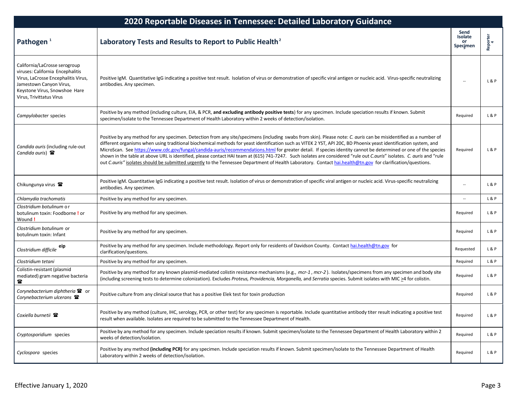| 2020 Reportable Diseases in Tennessee: Detailed Laboratory Guidance                                                                                                                              |                                                                                                                                                                                                                                                                                                                                                                                                                                                                                                                                                                                                                                                                                                                                                                                                                                                   |                                          |                |
|--------------------------------------------------------------------------------------------------------------------------------------------------------------------------------------------------|---------------------------------------------------------------------------------------------------------------------------------------------------------------------------------------------------------------------------------------------------------------------------------------------------------------------------------------------------------------------------------------------------------------------------------------------------------------------------------------------------------------------------------------------------------------------------------------------------------------------------------------------------------------------------------------------------------------------------------------------------------------------------------------------------------------------------------------------------|------------------------------------------|----------------|
| Pathogen <sup>1</sup>                                                                                                                                                                            | Laboratory Tests and Results to Report to Public Health <sup>2</sup>                                                                                                                                                                                                                                                                                                                                                                                                                                                                                                                                                                                                                                                                                                                                                                              | Send<br>Isolate<br><b>or</b><br>Specimen | Reporter<br>4  |
| California/LaCrosse serogroup<br>viruses: California Encephalitis<br>Virus, LaCrosse Encephalitis Virus,<br>Jamestown Canyon Virus,<br>Keystone Virus, Snowshoe Hare<br>Virus, Trivittatus Virus | Positive IgM. Quantitative IgG indicating a positive test result. Isolation of virus or demonstration of specific viral antigen or nucleic acid. Virus-specific neutralizing<br>antibodies. Any specimen.                                                                                                                                                                                                                                                                                                                                                                                                                                                                                                                                                                                                                                         |                                          | L&P            |
| Campylobacter species                                                                                                                                                                            | Positive by any method (including culture, EIA, & PCR, and excluding antibody positive tests) for any specimen. Include speciation results if known. Submit<br>specimen/isolate to the Tennessee Department of Health Laboratory within 2 weeks of detection/isolation.                                                                                                                                                                                                                                                                                                                                                                                                                                                                                                                                                                           | Required                                 | L&P            |
| Candida auris (including rule-out<br>Candida auris) <b>雷</b>                                                                                                                                     | Positive by any method for any specimen. Detection from any site/specimens (including swabs from skin). Please note: C. auris can be misidentified as a number of<br>different organisms when using traditional biochemical methods for yeast identification such as VITEK 2 YST, API 20C, BD Phoenix yeast identification system, and<br>MicroScan. See https://www.cdc.gov/fungal/candida-auris/recommendations.html for greater detail. If species identity cannot be determined or one of the species<br>shown in the table at above URL is identified, please contact HAI team at (615) 741-7247. Such isolates are considered "rule out Cauris" isolates. C. auris and "rule<br>out C.auris" isolates should be submitted urgently to the Tennessee Department of Health Laboratory. Contact hai.health@tn.gov for clarification/questions. | Required                                 | L&P            |
| Chikungunya virus <b>雷</b>                                                                                                                                                                       | Positive IgM. Quantitative IgG indicating a positive test result. Isolation of virus or demonstration of specific viral antigen or nucleic acid. Virus-specific neutralizing<br>antibodies. Any specimen.                                                                                                                                                                                                                                                                                                                                                                                                                                                                                                                                                                                                                                         |                                          | L&P            |
| Chlamydia trachomatis                                                                                                                                                                            | Positive by any method for any specimen.                                                                                                                                                                                                                                                                                                                                                                                                                                                                                                                                                                                                                                                                                                                                                                                                          |                                          | <b>L&amp;P</b> |
| Clostridium botulinum or<br>botulinum toxin: Foodborne! or<br>Wound!                                                                                                                             | Positive by any method for any specimen.                                                                                                                                                                                                                                                                                                                                                                                                                                                                                                                                                                                                                                                                                                                                                                                                          | Required                                 | <b>L&amp;P</b> |
| Clostridium botulinum or<br>botulinum toxin: Infant                                                                                                                                              | Positive by any method for any specimen.                                                                                                                                                                                                                                                                                                                                                                                                                                                                                                                                                                                                                                                                                                                                                                                                          | Required                                 | <b>L&amp;P</b> |
| eip<br>Clostridium difficile                                                                                                                                                                     | Positive by any method for any specimen. Include methodology. Report only for residents of Davidson County. Contact hai.health@tn.gov for<br>clarification/questions.                                                                                                                                                                                                                                                                                                                                                                                                                                                                                                                                                                                                                                                                             | Requested                                | L&P            |
| Clostridium tetani                                                                                                                                                                               | Positive by any method for any specimen.                                                                                                                                                                                                                                                                                                                                                                                                                                                                                                                                                                                                                                                                                                                                                                                                          | Required                                 | L&P            |
| Colistin-resistant (plasmid<br>mediated) gram negative bacteria<br>魯                                                                                                                             | Positive by any method for any known plasmid-mediated colistin resistance mechanisms (e.g., mcr-1, mcr-2). Isolates/specimens from any specimen and body site<br>(including screening tests to determine colonization). Excludes Proteus, Providencia, Morganella, and Serratia species. Submit isolates with MIC >4 for colistin.                                                                                                                                                                                                                                                                                                                                                                                                                                                                                                                | Required                                 | L&P            |
| Corynebacterium diphtheria <sup>®</sup> or<br>Corynebacterium ulcerans $\mathbf{\mathcal{F}}$                                                                                                    | Positive culture from any clinical source that has a positive Elek test for toxin production                                                                                                                                                                                                                                                                                                                                                                                                                                                                                                                                                                                                                                                                                                                                                      | Required                                 | L&P            |
| Coxiella burnetii 雷                                                                                                                                                                              | Positive by any method (culture, IHC, serology, PCR, or other test) for any specimen is reportable. Include quantitative antibody titer result indicating a positive test<br>result when available. Isolates are required to be submitted to the Tennessee Department of Health.                                                                                                                                                                                                                                                                                                                                                                                                                                                                                                                                                                  | Required                                 | L&P            |
| Cryptosporidium species                                                                                                                                                                          | Positive by any method for any specimen. Include speciation results if known. Submit specimen/isolate to the Tennessee Department of Health Laboratory within 2<br>weeks of detection/isolation.                                                                                                                                                                                                                                                                                                                                                                                                                                                                                                                                                                                                                                                  | Required                                 | L&P            |
| Cyclospora species                                                                                                                                                                               | Positive by any method (including PCR) for any specimen. Include speciation results if known. Submit specimen/isolate to the Tennessee Department of Health<br>Laboratory within 2 weeks of detection/isolation.                                                                                                                                                                                                                                                                                                                                                                                                                                                                                                                                                                                                                                  | Required                                 | L&P            |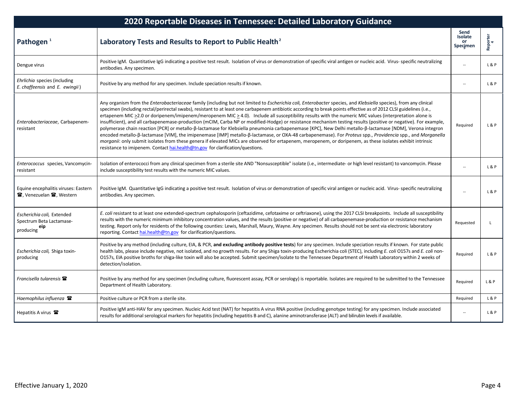| 2020 Reportable Diseases in Tennessee: Detailed Laboratory Guidance        |                                                                                                                                                                                                                                                                                                                                                                                                                                                                                                                                                                                                                                                                                                                                                                                                                                                                                                                                                                                                                                                                                                                                                                                                                                                               |                                   |                |
|----------------------------------------------------------------------------|---------------------------------------------------------------------------------------------------------------------------------------------------------------------------------------------------------------------------------------------------------------------------------------------------------------------------------------------------------------------------------------------------------------------------------------------------------------------------------------------------------------------------------------------------------------------------------------------------------------------------------------------------------------------------------------------------------------------------------------------------------------------------------------------------------------------------------------------------------------------------------------------------------------------------------------------------------------------------------------------------------------------------------------------------------------------------------------------------------------------------------------------------------------------------------------------------------------------------------------------------------------|-----------------------------------|----------------|
| Pathogen <sup>1</sup>                                                      | Laboratory Tests and Results to Report to Public Health <sup>2</sup>                                                                                                                                                                                                                                                                                                                                                                                                                                                                                                                                                                                                                                                                                                                                                                                                                                                                                                                                                                                                                                                                                                                                                                                          | Send<br>Isolate<br>or<br>Specimen | Reporter<br>4  |
| Dengue virus                                                               | Positive IgM. Quantitative IgG indicating a positive test result. Isolation of virus or demonstration of specific viral antigen or nucleic acid. Virus- specific neutralizing<br>antibodies. Any specimen.                                                                                                                                                                                                                                                                                                                                                                                                                                                                                                                                                                                                                                                                                                                                                                                                                                                                                                                                                                                                                                                    |                                   | L&P            |
| Ehrlichia species (including<br>E. chaffeensis and E. ewingii)             | Positive by any method for any specimen. Include speciation results if known.                                                                                                                                                                                                                                                                                                                                                                                                                                                                                                                                                                                                                                                                                                                                                                                                                                                                                                                                                                                                                                                                                                                                                                                 | $\overline{a}$                    | L & P          |
| Enterobacteriaceae, Carbapenem-<br>resistant                               | Any organism from the <i>Enterobacteriaceae</i> family (including but not limited to <i>Escherichia coli, Enterobacter</i> species, and Klebsiella species), from any clinical<br>specimen (including rectal/perirectal swabs), resistant to at least one carbapenem antibiotic according to break points effective as of 2012 CLSI guidelines (i.e.,<br>ertapenem MIC >2.0 or doripenem/imipenem/meropenem MIC > 4.0). Include all susceptibility results with the numeric MIC values (interpretation alone is<br>insufficient), and all carbapenemase-production (mCIM, Carba NP or modified-Hodge) or resistance mechanism testing results (positive or negative). For example,<br>polymerase chain reaction [PCR] or metallo-ß-lactamase for Klebsiella pneumonia carbapenemase [KPC], New Delhi metallo-ß-lactamase [NDM], Verona integron<br>encoded metallo-ß-lactamase [VIM], the imipenemase [IMP] metallo-ß-lactamase, or OXA-48 carbapenemase). For Proteus spp., Providencia spp., and Morganella<br>morganii: only submit isolates from these genera if elevated MICs are observed for ertapenem, meropenem, or doripenem, as these isolates exhibit intrinsic<br>resistance to imipenem. Contact hai.health@tn.gov for clarification/questions. | Required                          | <b>L&amp;P</b> |
| Enterococcus species, Vancomycin-<br>resistant                             | Isolation of enterococci from any clinical specimen from a sterile site AND "Nonsusceptible" isolate (i.e., intermediate- or high level resistant) to vancomycin. Please<br>include susceptibility test results with the numeric MIC values.                                                                                                                                                                                                                                                                                                                                                                                                                                                                                                                                                                                                                                                                                                                                                                                                                                                                                                                                                                                                                  | $\overline{\phantom{a}}$          | L & P          |
| Equine encephalitis viruses: Eastern<br><b>雷, Venezuelan 雷, Western</b>    | Positive IgM. Quantitative IgG indicating a positive test result. Isolation of virus or demonstration of specific viral antigen or nucleic acid. Virus- specific neutralizing<br>antibodies. Any specimen.                                                                                                                                                                                                                                                                                                                                                                                                                                                                                                                                                                                                                                                                                                                                                                                                                                                                                                                                                                                                                                                    |                                   | L & P          |
| Escherichia coli, Extended<br>Spectrum Beta Lactamase-<br>eip<br>producing | E. coli resistant to at least one extended-spectrum cephalosporin (ceftazidime, cefotaxime or ceftriaxone), using the 2017 CLSI breakpoints. Include all susceptibility<br>results with the numeric minimum inhibitory concentration values, and the results (positive or negative) of all carbapenemase-production or resistance mechanism<br>testing. Report only for residents of the following counties: Lewis, Marshall, Maury, Wayne. Any specimen. Results should not be sent via electronic laboratory<br>reporting. Contact hai.health@tn.gov for clarification/questions.                                                                                                                                                                                                                                                                                                                                                                                                                                                                                                                                                                                                                                                                           | Requested                         | <sup>L</sup>   |
| Escherichia coli, Shiga toxin-<br>producing                                | Positive by any method (including culture, EIA, & PCR, and excluding antibody positive tests) for any specimen. Include speciation results if known. For state public<br>health labs, please include negative, not isolated, and no growth results. For any Shiga toxin-producing Escherichia coli (STEC), including E. coli 0157s and E. coli non-<br>O157s, EIA positive broths for shiga-like toxin will also be accepted. Submit specimen/isolate to the Tennessee Department of Health Laboratory within 2 weeks of<br>detection/isolation.                                                                                                                                                                                                                                                                                                                                                                                                                                                                                                                                                                                                                                                                                                              | Required                          | <b>L&amp;P</b> |
| Francisella tularensis <b>雷</b>                                            | Positive by any method for any specimen (including culture, fluorescent assay, PCR or serology) is reportable. Isolates are required to be submitted to the Tennessee<br>Department of Health Laboratory.                                                                                                                                                                                                                                                                                                                                                                                                                                                                                                                                                                                                                                                                                                                                                                                                                                                                                                                                                                                                                                                     | Required                          | L&P            |
| Haemophilus influenza <b>雷</b>                                             | Positive culture or PCR from a sterile site.                                                                                                                                                                                                                                                                                                                                                                                                                                                                                                                                                                                                                                                                                                                                                                                                                                                                                                                                                                                                                                                                                                                                                                                                                  | Required                          | L&P            |
| Hepatitis A virus <b>雷</b>                                                 | Positive IgM anti-HAV for any specimen. Nucleic Acid test (NAT) for hepatitis A virus RNA positive (including genotype testing) for any specimen. Include associated<br>results for additional serological markers for hepatitis (including hepatitis B and C), alanine aminotransferase (ALT) and bilirubin levels if available.                                                                                                                                                                                                                                                                                                                                                                                                                                                                                                                                                                                                                                                                                                                                                                                                                                                                                                                             | $\overline{\phantom{a}}$          | <b>L&amp;P</b> |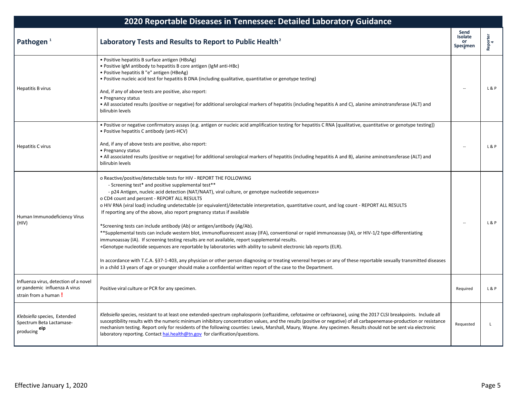| 2020 Reportable Diseases in Tennessee: Detailed Laboratory Guidance                            |                                                                                                                                                                                                                                                                                                                                                                                                                                                                                                                                                                                                                                                                                                                                                                                                                                                                                                                                                                                                                                                                                                                                                                                                                                                                    |                                   |               |
|------------------------------------------------------------------------------------------------|--------------------------------------------------------------------------------------------------------------------------------------------------------------------------------------------------------------------------------------------------------------------------------------------------------------------------------------------------------------------------------------------------------------------------------------------------------------------------------------------------------------------------------------------------------------------------------------------------------------------------------------------------------------------------------------------------------------------------------------------------------------------------------------------------------------------------------------------------------------------------------------------------------------------------------------------------------------------------------------------------------------------------------------------------------------------------------------------------------------------------------------------------------------------------------------------------------------------------------------------------------------------|-----------------------------------|---------------|
| Pathogen <sup>1</sup>                                                                          | Laboratory Tests and Results to Report to Public Health <sup>2</sup>                                                                                                                                                                                                                                                                                                                                                                                                                                                                                                                                                                                                                                                                                                                                                                                                                                                                                                                                                                                                                                                                                                                                                                                               | Send<br>Isolate<br>or<br>Specimen | Reporter<br>4 |
| Hepatitis B virus                                                                              | • Positive hepatitis B surface antigen (HBsAg)<br>• Positive IgM antibody to hepatitis B core antigen (IgM anti-HBc)<br>• Positive hepatitis B "e" antigen (HBeAg)<br>. Positive nucleic acid test for hepatitis B DNA (including qualitative, quantitative or genotype testing)<br>And, if any of above tests are positive, also report:<br>• Pregnancy status<br>• All associated results (positive or negative) for additional serological markers of hepatitis (including hepatitis A and C), alanine aminotransferase (ALT) and<br>bilirubin levels                                                                                                                                                                                                                                                                                                                                                                                                                                                                                                                                                                                                                                                                                                           |                                   | L & P         |
| Hepatitis C virus                                                                              | · Positive or negative confirmatory assays (e.g. antigen or nucleic acid amplification testing for hepatitis C RNA [qualitative, quantitative or genotype testing])<br>· Positive hepatitis C antibody (anti-HCV)<br>And, if any of above tests are positive, also report:<br>• Pregnancy status<br>• All associated results (positive or negative) for additional serological markers of hepatitis (including hepatitis A and B), alanine aminotransferase (ALT) and<br>bilirubin levels                                                                                                                                                                                                                                                                                                                                                                                                                                                                                                                                                                                                                                                                                                                                                                          |                                   | L & P         |
| Human Immunodeficiency Virus<br>(HIV)                                                          | o Reactive/positive/detectable tests for HIV - REPORT THE FOLLOWING<br>- Screening test* and positive supplemental test**<br>- p24 Antigen, nucleic acid detection (NAT/NAAT), viral culture, or genotype nucleotide sequences+<br>o CD4 count and percent - REPORT ALL RESULTS<br>o HIV RNA (viral load) including undetectable (or equivalent)/detectable interpretation, quantitative count, and log count - REPORT ALL RESULTS<br>If reporting any of the above, also report pregnancy status if available<br>*Screening tests can include antibody (Ab) or antigen/antibody (Ag/Ab).<br>**Supplemental tests can include western blot, immunofluorescent assay (IFA), conventional or rapid immunoassay (IA), or HIV-1/2 type-differentiating<br>immunoassay (IA). If screening testing results are not available, report supplemental results.<br>+Genotype nucleotide sequences are reportable by laboratories with ability to submit electronic lab reports (ELR).<br>In accordance with T.C.A. §37-1-403, any physician or other person diagnosing or treating venereal herpes or any of these reportable sexually transmitted diseases<br>in a child 13 years of age or younger should make a confidential written report of the case to the Department. |                                   | L & P         |
| Influenza virus, detection of a novel<br>or pandemic influenza A virus<br>strain from a human! | Positive viral culture or PCR for any specimen.                                                                                                                                                                                                                                                                                                                                                                                                                                                                                                                                                                                                                                                                                                                                                                                                                                                                                                                                                                                                                                                                                                                                                                                                                    | Required                          | L & P         |
| Klebsiella species, Extended<br>Spectrum Beta Lactamase-<br>eip<br>producing                   | Klebsiella species, resistant to at least one extended-spectrum cephalosporin (ceftazidime, cefotaxime or ceftriaxone), using the 2017 CLSI breakpoints. Include all<br>susceptibility results with the numeric minimum inhibitory concentration values, and the results (positive or negative) of all carbapenemase-production or resistance<br>mechanism testing. Report only for residents of the following counties: Lewis, Marshall, Maury, Wayne. Any specimen. Results should not be sent via electronic<br>laboratory reporting. Contact hai.health@tn.gov for clarification/questions.                                                                                                                                                                                                                                                                                                                                                                                                                                                                                                                                                                                                                                                                    | Requested                         | L             |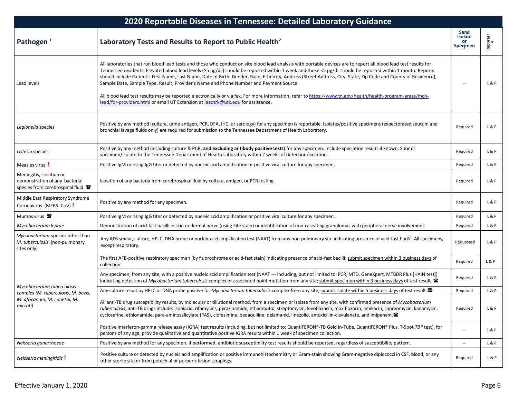| 2020 Reportable Diseases in Tennessee: Detailed Laboratory Guidance                            |                                                                                                                                                                                                                                                                                                                                                                                                                                                                                                                                                                                                                                                                                                                                                                                                                                              |                                   |                |
|------------------------------------------------------------------------------------------------|----------------------------------------------------------------------------------------------------------------------------------------------------------------------------------------------------------------------------------------------------------------------------------------------------------------------------------------------------------------------------------------------------------------------------------------------------------------------------------------------------------------------------------------------------------------------------------------------------------------------------------------------------------------------------------------------------------------------------------------------------------------------------------------------------------------------------------------------|-----------------------------------|----------------|
| Pathogen <sup>1</sup>                                                                          | Laboratory Tests and Results to Report to Public Health <sup>2</sup>                                                                                                                                                                                                                                                                                                                                                                                                                                                                                                                                                                                                                                                                                                                                                                         | Send<br>Isolate<br>or<br>Specimen | Reporter<br>4  |
| Lead levels                                                                                    | All laboratories that run blood lead tests and those who conduct on site blood lead analysis with portable devices are to report all blood lead test results for<br>Tennessee residents. Elevated blood lead levels (≥5 µg/dL) should be reported within 1 week and those <5 µg/dL should be reported within 1 month. Reports<br>should include Patient's First Name, Last Name, Date of Birth, Gender, Race, Ethnicity, Address (Street Address, City, State, Zip Code and County of Residence),<br>Sample Date, Sample Type, Result, Provider's Name and Phone Number and Payment Source.<br>All blood lead test results may be reported electronically or via fax. For more information, refer to https://www.tn.gov/health/health-program-areas/mch-<br>lead/for-providers.html or email UT Extension at leadtrk@utk.edu for assistance. |                                   | L&P            |
| Legionella species                                                                             | Positive by any method (culture, urine antigen, PCR, DFA, IHC, or serology) for any specimen is reportable. Isolates/positive specimens (expectorated sputum and<br>bronchial lavage fluids only) are required for submission to the Tennessee Department of Health Laboratory.                                                                                                                                                                                                                                                                                                                                                                                                                                                                                                                                                              | Required                          | L&P            |
| Listeria species                                                                               | Positive by any method (including culture & PCR, and excluding antibody positive tests) for any specimen. Include speciation results if known. Submit<br>specimen/isolate to the Tennessee Department of Health Laboratory within 2 weeks of detection/isolation.                                                                                                                                                                                                                                                                                                                                                                                                                                                                                                                                                                            | Required                          | L&P            |
| Measles virus !                                                                                | Positive IgM or rising IgG titer or detected by nucleic acid amplification or positive viral culture for any specimen.                                                                                                                                                                                                                                                                                                                                                                                                                                                                                                                                                                                                                                                                                                                       | Required                          | L&P            |
| Meningitis, isolation or<br>demonstration of any bacterial<br>species from cerebrospinal fluid | Isolation of any bacteria from cerebrospinal fluid by culture, antigen, or PCR testing.                                                                                                                                                                                                                                                                                                                                                                                                                                                                                                                                                                                                                                                                                                                                                      | Required                          | L&P            |
| Middle East Respiratory Syndrome<br>Coronavirus (MERS-CoV) !                                   | Positive by any method for any specimen.                                                                                                                                                                                                                                                                                                                                                                                                                                                                                                                                                                                                                                                                                                                                                                                                     | Required                          | L&P            |
| Mumps virus 2                                                                                  | Positive IgM or rising IgG titer or detected by nucleic acid amplification or positive viral culture for any specimen.                                                                                                                                                                                                                                                                                                                                                                                                                                                                                                                                                                                                                                                                                                                       | Required                          | L&P            |
| Mycobacterium leprae                                                                           | Demonstration of acid-fast bacilli in skin or dermal nerve (using Fite stain) or identification of non-caseating granulomas with peripheral nerve involvement.                                                                                                                                                                                                                                                                                                                                                                                                                                                                                                                                                                                                                                                                               | Required                          | L&P            |
| Mycobacterium species other than<br>M. tuberculosis (non-pulmonary<br>sites only)              | Any AFB smear, culture, HPLC, DNA probe or nucleic acid amplification test (NAAT) from any non-pulmonary site indicating presence of acid-fast bacilli. All specimens,<br>except respiratory.                                                                                                                                                                                                                                                                                                                                                                                                                                                                                                                                                                                                                                                | Requested                         | L&P            |
|                                                                                                | The first AFB-positive respiratory specimen (by fluorochrome or acid-fast stain) indicating presence of acid-fast bacilli; submit specimen within 3 business days of<br>collection.                                                                                                                                                                                                                                                                                                                                                                                                                                                                                                                                                                                                                                                          | Required                          | L&P            |
|                                                                                                | Any specimen, from any site, with a positive nucleic acid amplification test (NAAT --- including, but not limited to: PCR, MTD, GeneXpert, MTBDR Plus [HAIN test])<br>indicating detection of Mycobacterium tuberculosis complex or associated point mutation from any site; submit specimen within 3 business days of test result.                                                                                                                                                                                                                                                                                                                                                                                                                                                                                                          | Required                          | L&P            |
| Mycobacterium tuberculosis<br>complex (M. tuberculosis, M. bovis,                              | Any culture result by HPLC or DNA probe positive for Mycobacterium tuberculosis complex from any site; submit isolate within 5 business days of test result.                                                                                                                                                                                                                                                                                                                                                                                                                                                                                                                                                                                                                                                                                 | Required                          | L&P            |
| M. africanum, M. canettii, M.<br>microti)                                                      | All anti-TB drug susceptibility results, by molecular or dilutional method, from a specimen or isolate from any site, with confirmed presence of Mycobacterium<br>tuberculosis; anti-TB drugs include: isoniazid, rifamycins, pyrazinamide, ethambutol, streptomycin, levofloxacin, moxifloxacin, amikacin, capreomycin, kanamycin,<br>cycloserine, ethionamide, para-aminosalicylate (PAS), clofazimine, bedaquiline, delamanid, linezolid, amoxicillin-clavulanate, and imipenem.                                                                                                                                                                                                                                                                                                                                                          | Required                          | <b>L&amp;P</b> |
|                                                                                                | Positive interferon-gamma release assay (IGRA) test results (including, but not limited to: QuantiFERON®-TB Gold In-Tube, QuantiFERON® Plus, T-Spot.TB® test), for<br>persons of any age; provide qualitative and quantitative positive IGRA results within 1 week of specimen collection.                                                                                                                                                                                                                                                                                                                                                                                                                                                                                                                                                   | $\qquad \qquad \cdots$            | L&P            |
| Neisseria gonorrhoeae                                                                          | Positive by any method for any specimen. If performed, antibiotic susceptibility test results should be reported, regardless of susceptibility pattern.                                                                                                                                                                                                                                                                                                                                                                                                                                                                                                                                                                                                                                                                                      | $\sim$                            | L&P            |
| Neisseria meningitidis!                                                                        | Positive culture or detected by nucleic acid amplification or positive immunohistochemistry or Gram-stain showing Gram-negative diplococci in CSF, blood, or any<br>other sterile site or from petechial or purpuric lesion scrapings.                                                                                                                                                                                                                                                                                                                                                                                                                                                                                                                                                                                                       | Required                          | L&P            |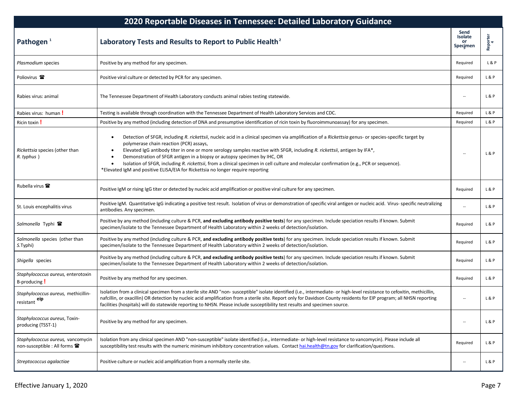| 2020 Reportable Diseases in Tennessee: Detailed Laboratory Guidance       |                                                                                                                                                                                                                                                                                                                                                                                                                                                                                                                                                                                                                                                                          |                                          |               |
|---------------------------------------------------------------------------|--------------------------------------------------------------------------------------------------------------------------------------------------------------------------------------------------------------------------------------------------------------------------------------------------------------------------------------------------------------------------------------------------------------------------------------------------------------------------------------------------------------------------------------------------------------------------------------------------------------------------------------------------------------------------|------------------------------------------|---------------|
| Pathogen $1$                                                              | Laboratory Tests and Results to Report to Public Health <sup>2</sup>                                                                                                                                                                                                                                                                                                                                                                                                                                                                                                                                                                                                     | Send<br>Isolate<br><b>or</b><br>Specimen | Reporter<br>4 |
| Plasmodium species                                                        | Positive by any method for any specimen.                                                                                                                                                                                                                                                                                                                                                                                                                                                                                                                                                                                                                                 | Required                                 | L&P           |
| Poliovirus <sup>2</sup>                                                   | Positive viral culture or detected by PCR for any specimen.                                                                                                                                                                                                                                                                                                                                                                                                                                                                                                                                                                                                              | Required                                 | L&P           |
| Rabies virus: animal                                                      | The Tennessee Department of Health Laboratory conducts animal rabies testing statewide.                                                                                                                                                                                                                                                                                                                                                                                                                                                                                                                                                                                  |                                          | L&P           |
| Rabies virus: human!                                                      | Testing is available through coordination with the Tennessee Department of Health Laboratory Services and CDC.                                                                                                                                                                                                                                                                                                                                                                                                                                                                                                                                                           | Required                                 | L&P           |
| Ricin toxin !                                                             | Positive by any method (including detection of DNA and presumptive identification of ricin toxin by fluoroimmunoassay) for any specimen.                                                                                                                                                                                                                                                                                                                                                                                                                                                                                                                                 | Required                                 | L&P           |
| Rickettsia species (other than<br>R. typhus)                              | Detection of SFGR, including R. rickettsii, nucleic acid in a clinical specimen via amplification of a Rickettsia genus- or species-specific target by<br>٠<br>polymerase chain reaction (PCR) assays,<br>Elevated IgG antibody titer in one or more serology samples reactive with SFGR, including R. rickettsii, antigen by IFA*,<br>$\bullet$<br>Demonstration of SFGR antigen in a biopsy or autopsy specimen by IHC, OR<br>$\bullet$<br>Isolation of SFGR, including R. rickettsii, from a clinical specimen in cell culture and molecular confirmation (e.g., PCR or sequence).<br>*Elevated IgM and positive ELISA/EIA for Rickettsia no longer require reporting |                                          | L&P           |
| Rubella virus <b>雷</b>                                                    | Positive IgM or rising IgG titer or detected by nucleic acid amplification or positive viral culture for any specimen.                                                                                                                                                                                                                                                                                                                                                                                                                                                                                                                                                   | Required                                 | L&P           |
| St. Louis encephalitis virus                                              | Positive IgM. Quantitative IgG indicating a positive test result. Isolation of virus or demonstration of specific viral antigen or nucleic acid. Virus- specific neutralizing<br>antibodies. Any specimen.                                                                                                                                                                                                                                                                                                                                                                                                                                                               |                                          | L&P           |
| Salmonella Typhi <b>雷</b>                                                 | Positive by any method (including culture & PCR, and excluding antibody positive tests) for any specimen. Include speciation results if known. Submit<br>specimen/isolate to the Tennessee Department of Health Laboratory within 2 weeks of detection/isolation.                                                                                                                                                                                                                                                                                                                                                                                                        | Required                                 | L&P           |
| Salmonella species (other than<br>S.Typhi)                                | Positive by any method (including culture & PCR, and excluding antibody positive tests) for any specimen. Include speciation results if known. Submit<br>specimen/isolate to the Tennessee Department of Health Laboratory within 2 weeks of detection/isolation.                                                                                                                                                                                                                                                                                                                                                                                                        | Required                                 | L&P           |
| Shigella species                                                          | Positive by any method (including culture & PCR, and excluding antibody positive tests) for any specimen. Include speciation results if known. Submit<br>specimen/isolate to the Tennessee Department of Health Laboratory within 2 weeks of detection/isolation.                                                                                                                                                                                                                                                                                                                                                                                                        | Required                                 | L&P           |
| Staphylococcus aureus, enterotoxin<br>B-producing !                       | Positive by any method for any specimen.                                                                                                                                                                                                                                                                                                                                                                                                                                                                                                                                                                                                                                 | Required                                 | L&P           |
| Staphylococcus aureus, methicillin-<br>resistant eip                      | Isolation from a clinical specimen from a sterile site AND "non- susceptible" isolate identified (i.e., intermediate- or high-level resistance to cefoxitin, methicillin,<br>nafcillin, or oxacillin) OR detection by nucleic acid amplification from a sterile site. Report only for Davidson County residents for EIP program; all NHSN reporting<br>facilities (hospitals) will do statewide reporting to NHSN. Please include susceptibility test results and specimen source.                                                                                                                                                                                       | $\overline{\phantom{a}}$                 | L&P           |
| Staphylococcus aureus, Toxin-<br>producing (TSST-1)                       | Positive by any method for any specimen.                                                                                                                                                                                                                                                                                                                                                                                                                                                                                                                                                                                                                                 | $\overline{\phantom{a}}$                 | L&P           |
| Staphylococcus aureus, vancomycin<br>non-susceptible : All forms <b>雷</b> | Isolation from any clinical specimen AND "non-susceptible" isolate identified (i.e., intermediate- or high-level resistance to vancomycin). Please include all<br>susceptibility test results with the numeric minimum inhibitory concentration values. Contact hai.health@tn.gov for clarification/questions.                                                                                                                                                                                                                                                                                                                                                           | Required                                 | L&P           |
| Streptococcus agalactiae                                                  | Positive culture or nucleic acid amplification from a normally sterile site.                                                                                                                                                                                                                                                                                                                                                                                                                                                                                                                                                                                             | $\overline{a}$                           | L & P         |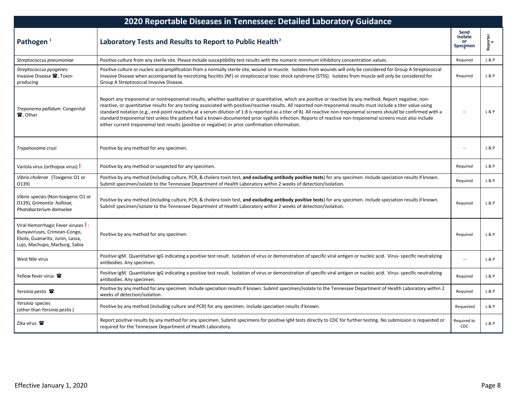| 2020 Reportable Diseases in Tennessee: Detailed Laboratory Guidance                                                                     |                                                                                                                                                                                                                                                                                                                                                                                                                                                                                                                                                                                                                                                                                                                                                                         |                                   |                |
|-----------------------------------------------------------------------------------------------------------------------------------------|-------------------------------------------------------------------------------------------------------------------------------------------------------------------------------------------------------------------------------------------------------------------------------------------------------------------------------------------------------------------------------------------------------------------------------------------------------------------------------------------------------------------------------------------------------------------------------------------------------------------------------------------------------------------------------------------------------------------------------------------------------------------------|-----------------------------------|----------------|
| Pathogen <sup>1</sup>                                                                                                                   | Laboratory Tests and Results to Report to Public Health <sup>2</sup>                                                                                                                                                                                                                                                                                                                                                                                                                                                                                                                                                                                                                                                                                                    | Send<br>Isolate<br>or<br>Specimen | Reporter<br>4  |
| Streptococcus pneumoniae                                                                                                                | Positive culture from any sterile site. Please include susceptibility test results with the numeric minimum inhibitory concentration values.                                                                                                                                                                                                                                                                                                                                                                                                                                                                                                                                                                                                                            | Required                          | L & P          |
| Streptococcus pyogenes:<br>Invasive Disease <sup>2</sup> , Toxin-<br>producing                                                          | Positive culture or nucleic acid amplification from a normally sterile site, wound or muscle. Isolates from wounds will only be considered for Group A Streptococcal<br>Invasive Disease when accompanied by necrotizing fasciitis (NF) or streptococcal toxic shock syndrome (STSS). Isolates from muscle will only be considered for<br>Group A Streptococcal Invasive Disease.                                                                                                                                                                                                                                                                                                                                                                                       | Required                          | <b>L&amp;P</b> |
| Treponema pallidum: Congenital<br>雷. Other                                                                                              | Report any treponemal or nontreponemal results, whether qualitative or quantitative, which are positive or reactive by any method. Report negative, non-<br>reactive, or quantitative results for any testing associated with positive/reactive results. All reported non-treponemal results must include a titer value using<br>standard notation (e.g., end-point reactivity at a serum dilution of 1:8 is reported as a titer of 8). All reactive non-treponemal screens should be confirmed with a<br>standard treponemal test unless the patient had a known documented prior syphilis infection. Reports of reactive non-treponemal screens must also include<br>either current treponemal test results (positive or negative) or prior confirmation information. |                                   | L & P          |
| Trypanosoma cruzi                                                                                                                       | Positive by any method for any specimen.                                                                                                                                                                                                                                                                                                                                                                                                                                                                                                                                                                                                                                                                                                                                | $\overline{a}$                    | L&P            |
| Variola virus (orthopox virus) !                                                                                                        | Positive by any method or suspected for any specimen.                                                                                                                                                                                                                                                                                                                                                                                                                                                                                                                                                                                                                                                                                                                   | Required                          | L & P          |
| Vibrio cholerae (Toxigenic O1 or<br>0139)                                                                                               | Positive by any method (including culture, PCR, & cholera toxin test, and excluding antibody positive tests) for any specimen. Include speciation results if known.<br>Submit specimen/isolate to the Tennessee Department of Health Laboratory within 2 weeks of detection/isolation.                                                                                                                                                                                                                                                                                                                                                                                                                                                                                  | Required                          | L&P            |
| Vibrio species (Non-toxigenic O1 or<br>O139), Grimontia hollisae,<br>Photobacterium damselae                                            | Positive by any method (including culture, PCR, & cholera toxin test, and excluding antibody positive tests) for any specimen. Include speciation results if known.<br>Submit specimen/isolate to the Tennessee Department of Health Laboratory within 2 weeks of detection/isolation.                                                                                                                                                                                                                                                                                                                                                                                                                                                                                  | Required                          | <b>L&amp;P</b> |
| Viral Hemorrhagic Fever viruses ! :<br>Bunyaviruses, Crimean-Congo,<br>Ebola, Guanarito, Junin, Lassa,<br>Lujo, Machupo, Marburg, Sabia | Positive by any method for any specimen.                                                                                                                                                                                                                                                                                                                                                                                                                                                                                                                                                                                                                                                                                                                                | Required                          | <b>L&amp;P</b> |
| West Nile virus                                                                                                                         | Positive IgM. Quantitative IgG indicating a positive test result. Isolation of virus or demonstration of specific viral antigen or nucleic acid. Virus- specific neutralizing<br>antibodies. Any specimen.                                                                                                                                                                                                                                                                                                                                                                                                                                                                                                                                                              | $\overline{a}$                    | L & P          |
| Yellow fever virus 雷                                                                                                                    | Positive IgM. Quantitative IgG indicating a positive test result. Isolation of virus or demonstration of specific viral antigen or nucleic acid. Virus- specific neutralizing<br>antibodies. Any specimen.                                                                                                                                                                                                                                                                                                                                                                                                                                                                                                                                                              | Required                          | L & P          |
| Yersinia pestis <b>雷</b>                                                                                                                | Positive by any method for any specimen. Include speciation results if known. Submit specimen/isolate to the Tennessee Department of Health Laboratory within 2<br>weeks of detection/isolation.                                                                                                                                                                                                                                                                                                                                                                                                                                                                                                                                                                        | Required                          | L&P            |
| Yersinia species<br>(other than Yersinia pestis)                                                                                        | Positive by any method (including culture and PCR) for any specimen. Include speciation results if known.                                                                                                                                                                                                                                                                                                                                                                                                                                                                                                                                                                                                                                                               | Requested                         | L & P          |
| Zika virus $\mathbf{\mathcal{F}}$                                                                                                       | Report positive results by any method for any specimen. Submit specimens for positive IgM tests directly to CDC for further testing. No submission is requested or<br>required for the Tennessee Department of Health Laboratory.                                                                                                                                                                                                                                                                                                                                                                                                                                                                                                                                       | Required to<br>CDC                | L & P          |